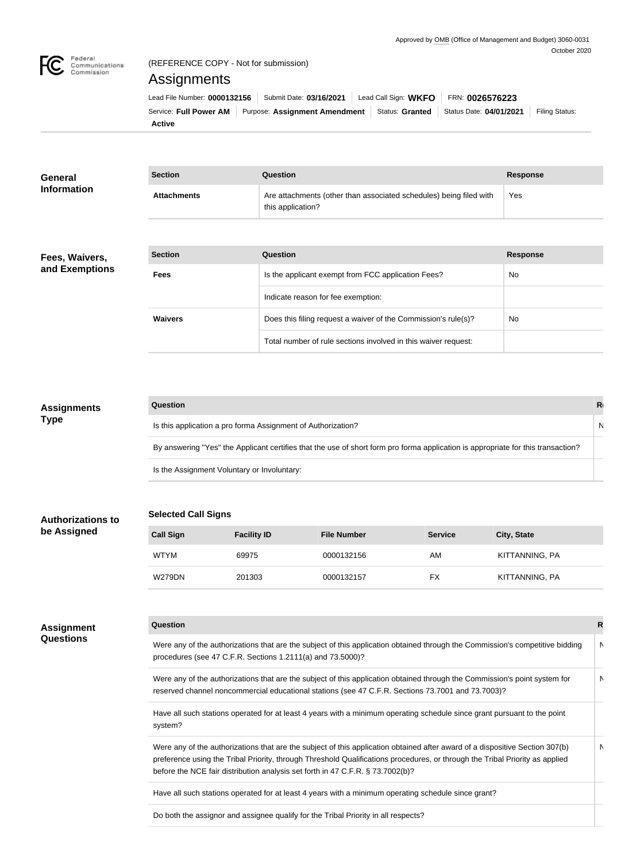

## (REFERENCE COPY - Not for submission)

# **Assignments**

|        | Lead File Number: 0000132156   Submit Date: 03/16/2021                                           | Lead Call Sign: $WKFO$   FRN: 0026576223 |                |
|--------|--------------------------------------------------------------------------------------------------|------------------------------------------|----------------|
|        | Service: Full Power AM Purpose: Assignment Amendment   Status: Granted   Status Date: 04/01/2021 |                                          | Filing Status: |
| Active |                                                                                                  |                                          |                |

| <b>General</b><br><b>Information</b> | <b>Section</b>     | Question                                                                                | <b>Response</b> |
|--------------------------------------|--------------------|-----------------------------------------------------------------------------------------|-----------------|
|                                      | <b>Attachments</b> | Are attachments (other than associated schedules) being filed with<br>this application? | Yes             |

#### **Fees, Waivers, and Exemptions**

| <b>Section</b> | Question                                                       | <b>Response</b> |
|----------------|----------------------------------------------------------------|-----------------|
| <b>Fees</b>    | Is the applicant exempt from FCC application Fees?             | <b>No</b>       |
|                | Indicate reason for fee exemption:                             |                 |
| <b>Waivers</b> | Does this filing request a waiver of the Commission's rule(s)? | No              |
|                | Total number of rule sections involved in this waiver request: |                 |

# **Question Response** Is this application a pro forma Assignment of Authorization? Note that the extension of  $\Box$  Note that the extension of  $\Box$  Note that the extension of  $\Box$  Note that the extension of  $\Box$  Note that the extension of  $\Box$  N By answering "Yes" the Applicant certifies that the use of short form pro forma application is appropriate for this transaction? Is the Assignment Voluntary or Involuntary: **Assignments Type**

# **Selected Call Signs**

| <b>Call Sign</b> | <b>Facility ID</b> | <b>File Number</b> | <b>Service</b> | <b>City, State</b> |
|------------------|--------------------|--------------------|----------------|--------------------|
| <b>WTYM</b>      | 69975              | 0000132156         | AM             | KITTANNING, PA     |
| <b>W279DN</b>    | 201303             | 0000132157         | FX             | KITTANNING, PA     |

### **Assignment Questions**

**Authorizations to** 

**be Assigned**

| Question                                                                                                                                                                                                                                                                                                                                       |   |
|------------------------------------------------------------------------------------------------------------------------------------------------------------------------------------------------------------------------------------------------------------------------------------------------------------------------------------------------|---|
| Were any of the authorizations that are the subject of this application obtained through the Commission's competitive bidding<br>procedures (see 47 C.F.R. Sections 1.2111(a) and 73.5000)?                                                                                                                                                    | N |
| Were any of the authorizations that are the subject of this application obtained through the Commission's point system for<br>reserved channel noncommercial educational stations (see 47 C.F.R. Sections 73.7001 and 73.7003)?                                                                                                                | N |
| Have all such stations operated for at least 4 years with a minimum operating schedule since grant pursuant to the point<br>system?                                                                                                                                                                                                            |   |
| Were any of the authorizations that are the subject of this application obtained after award of a dispositive Section 307(b)<br>preference using the Tribal Priority, through Threshold Qualifications procedures, or through the Tribal Priority as applied<br>before the NCE fair distribution analysis set forth in 47 C.F.R. § 73.7002(b)? | N |

Have all such stations operated for at least 4 years with a minimum operating schedule since grant?

Do both the assignor and assignee qualify for the Tribal Priority in all respects?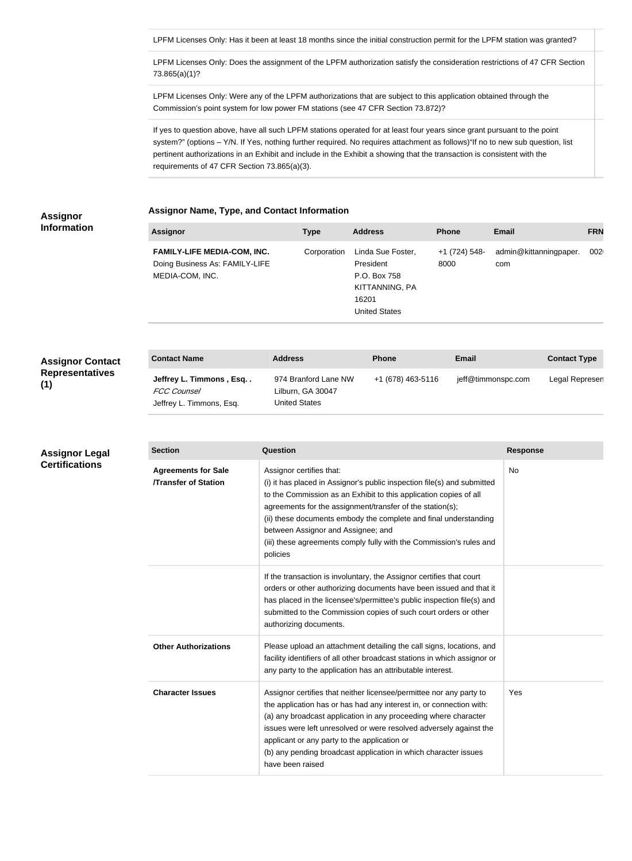LPFM Licenses Only: Has it been at least 18 months since the initial construction permit for the LPFM station was granted?

LPFM Licenses Only: Does the assignment of the LPFM authorization satisfy the consideration restrictions of 47 CFR Section 73.865(a)(1)?

LPFM Licenses Only: Were any of the LPFM authorizations that are subject to this application obtained through the Commission's point system for low power FM stations (see 47 CFR Section 73.872)?

If yes to question above, have all such LPFM stations operated for at least four years since grant pursuant to the point system?" (options – Y/N. If Yes, nothing further required. No requires attachment as follows)"If no to new sub question, list pertinent authorizations in an Exhibit and include in the Exhibit a showing that the transaction is consistent with the requirements of 47 CFR Section 73.865(a)(3).

# **Assignor**

**Assignor Name, Type, and Contact Information**

| <b>Information</b> |  |
|--------------------|--|
|                    |  |

**Assignor Legal Certifications**

|  |  | Assignor Name, Type, and Contact information |
|--|--|----------------------------------------------|
|  |  |                                              |

| <b>Assignor</b>                    | Type        | <b>Address</b>       | <b>Phone</b>  | <b>Email</b>           | <b>FRN</b>       |
|------------------------------------|-------------|----------------------|---------------|------------------------|------------------|
| <b>FAMILY-LIFE MEDIA-COM, INC.</b> | Corporation | Linda Sue Foster,    | +1 (724) 548- | admin@kittanningpaper. | 002 <sub>0</sub> |
| Doing Business As: FAMILY-LIFE     |             | President            | 8000          | com                    |                  |
| MEDIA-COM, INC.                    |             | P.O. Box 758         |               |                        |                  |
|                                    |             | KITTANNING, PA       |               |                        |                  |
|                                    |             | 16201                |               |                        |                  |
|                                    |             | <b>United States</b> |               |                        |                  |

| <b>Assignor Contact</b> | <b>Contact Name</b>                                                       | <b>Address</b>                                                    | <b>Phone</b>      | <b>Email</b>       | <b>Contact Type</b> |
|-------------------------|---------------------------------------------------------------------------|-------------------------------------------------------------------|-------------------|--------------------|---------------------|
| <b>Representatives</b>  | Jeffrey L. Timmons, Esq<br><b>FCC Counsel</b><br>Jeffrey L. Timmons, Esq. | 974 Branford Lane NW<br>Lilburn, GA 30047<br><b>United States</b> | +1 (678) 463-5116 | jeff@timmonspc.com | Legal Represen      |

## **Section Question Response Agreements for Sale /Transfer of Station** Assignor certifies that: (i) it has placed in Assignor's public inspection file(s) and submitted to the Commission as an Exhibit to this application copies of all agreements for the assignment/transfer of the station(s); (ii) these documents embody the complete and final understanding between Assignor and Assignee; and (iii) these agreements comply fully with the Commission's rules and policies No If the transaction is involuntary, the Assignor certifies that court orders or other authorizing documents have been issued and that it has placed in the licensee's/permittee's public inspection file(s) and submitted to the Commission copies of such court orders or other authorizing documents. **Other Authorizations** Please upload an attachment detailing the call signs, locations, and facility identifiers of all other broadcast stations in which assignor or any party to the application has an attributable interest. **Character Issues** Assignor certifies that neither licensee/permittee nor any party to the application has or has had any interest in, or connection with: (a) any broadcast application in any proceeding where character issues were left unresolved or were resolved adversely against the applicant or any party to the application or (b) any pending broadcast application in which character issues have been raised Yes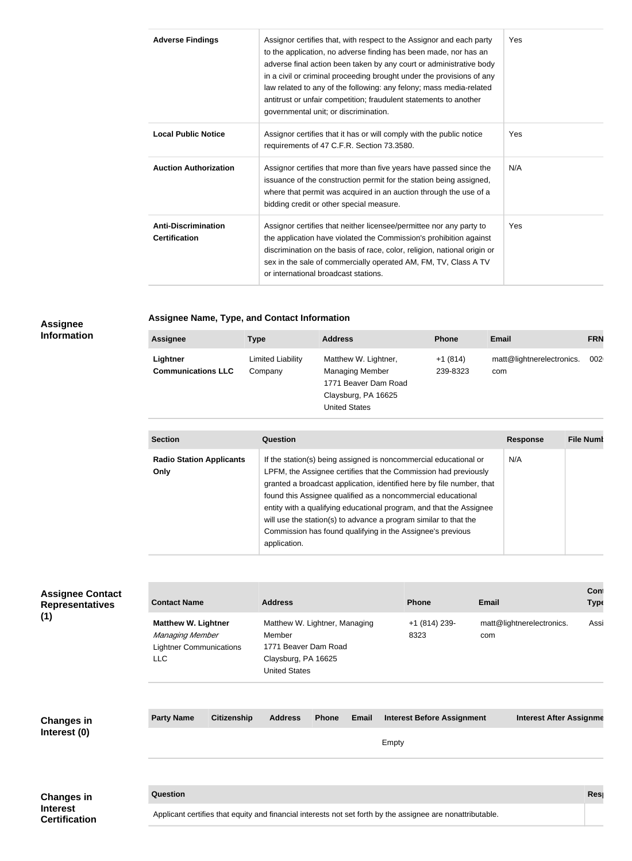| <b>Adverse Findings</b>                            | Assignor certifies that, with respect to the Assignor and each party<br>to the application, no adverse finding has been made, nor has an<br>adverse final action been taken by any court or administrative body<br>in a civil or criminal proceeding brought under the provisions of any<br>law related to any of the following: any felony; mass media-related<br>antitrust or unfair competition; fraudulent statements to another<br>governmental unit; or discrimination. | Yes |
|----------------------------------------------------|-------------------------------------------------------------------------------------------------------------------------------------------------------------------------------------------------------------------------------------------------------------------------------------------------------------------------------------------------------------------------------------------------------------------------------------------------------------------------------|-----|
| <b>Local Public Notice</b>                         | Assignor certifies that it has or will comply with the public notice<br>requirements of 47 C.F.R. Section 73.3580.                                                                                                                                                                                                                                                                                                                                                            | Yes |
| <b>Auction Authorization</b>                       | Assignor certifies that more than five years have passed since the<br>issuance of the construction permit for the station being assigned,<br>where that permit was acquired in an auction through the use of a<br>bidding credit or other special measure.                                                                                                                                                                                                                    | N/A |
| <b>Anti-Discrimination</b><br><b>Certification</b> | Assignor certifies that neither licensee/permittee nor any party to<br>the application have violated the Commission's prohibition against<br>discrimination on the basis of race, color, religion, national origin or<br>sex in the sale of commercially operated AM, FM, TV, Class A TV<br>or international broadcast stations.                                                                                                                                              | Yes |

#### **Assignee Information**

**Assignee Name, Type, and Contact Information**

| <b>Assignee</b>           | <b>Type</b>       | <b>Address</b>         | <b>Phone</b> | <b>Email</b>              | <b>FRN</b>       |
|---------------------------|-------------------|------------------------|--------------|---------------------------|------------------|
| Lightner                  | Limited Liability | Matthew W. Lightner,   | $+1(814)$    | matt@lightnerelectronics. | 002 <sub>1</sub> |
| <b>Communications LLC</b> | Company           | <b>Managing Member</b> | 239-8323     | com                       |                  |
|                           |                   | 1771 Beaver Dam Road   |              |                           |                  |
|                           |                   | Claysburg, PA 16625    |              |                           |                  |
|                           |                   | <b>United States</b>   |              |                           |                  |

| <b>Section</b>                          | Question                                                                                                                                                                                                                                                                                                                                                                                                                                                                                              | <b>Response</b> | <b>File Numb</b> |
|-----------------------------------------|-------------------------------------------------------------------------------------------------------------------------------------------------------------------------------------------------------------------------------------------------------------------------------------------------------------------------------------------------------------------------------------------------------------------------------------------------------------------------------------------------------|-----------------|------------------|
| <b>Radio Station Applicants</b><br>Only | If the station(s) being assigned is noncommercial educational or<br>LPFM, the Assignee certifies that the Commission had previously<br>granted a broadcast application, identified here by file number, that<br>found this Assignee qualified as a noncommercial educational<br>entity with a qualifying educational program, and that the Assignee<br>will use the station(s) to advance a program similar to that the<br>Commission has found qualifying in the Assignee's previous<br>application. | N/A             |                  |

| <b>Assignee Contact</b><br><b>Representatives</b>            | <b>Contact Name</b>                                                                           |                    | <b>Address</b>                                                                                                 |              |              |       | <b>Phone</b>                                                                                               | <b>Email</b> |                                | Cont<br><b>Type</b> |
|--------------------------------------------------------------|-----------------------------------------------------------------------------------------------|--------------------|----------------------------------------------------------------------------------------------------------------|--------------|--------------|-------|------------------------------------------------------------------------------------------------------------|--------------|--------------------------------|---------------------|
| (1)                                                          | <b>Matthew W. Lightner</b><br>Managing Member<br><b>Lightner Communications</b><br><b>LLC</b> |                    | Matthew W. Lightner, Managing<br>Member<br>1771 Beaver Dam Road<br>Claysburg, PA 16625<br><b>United States</b> |              |              |       | +1 (814) 239-<br>8323                                                                                      | com          | matt@lightnerelectronics.      | Assi                |
| <b>Changes in</b><br>Interest (0)                            | <b>Party Name</b>                                                                             | <b>Citizenship</b> | <b>Address</b>                                                                                                 | <b>Phone</b> | <b>Email</b> | Empty | <b>Interest Before Assignment</b>                                                                          |              | <b>Interest After Assignme</b> |                     |
| <b>Changes in</b><br><b>Interest</b><br><b>Certification</b> | Question                                                                                      |                    |                                                                                                                |              |              |       | Applicant certifies that equity and financial interests not set forth by the assignee are nonattributable. |              |                                | Res                 |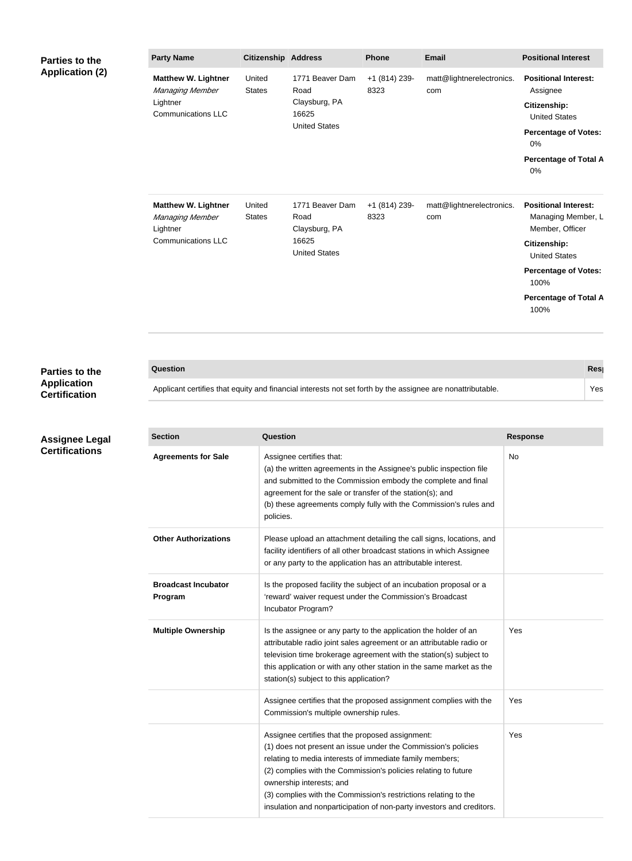| <b>Parties to the</b><br><b>Application (2)</b> | <b>Party Name</b>                                                                      | <b>Citizenship Address</b> |                                                                           | <b>Phone</b>          | <b>Email</b>                     | <b>Positional Interest</b>                                                                                                                                 |  |
|-------------------------------------------------|----------------------------------------------------------------------------------------|----------------------------|---------------------------------------------------------------------------|-----------------------|----------------------------------|------------------------------------------------------------------------------------------------------------------------------------------------------------|--|
|                                                 | <b>Matthew W. Lightner</b><br>Managing Member<br>Lightner<br><b>Communications LLC</b> | United<br><b>States</b>    | 1771 Beaver Dam<br>Road<br>Claysburg, PA<br>16625<br><b>United States</b> | +1 (814) 239-<br>8323 | matt@lightnerelectronics.<br>com | <b>Positional Interest:</b><br>Assignee<br>Citizenship:<br><b>United States</b><br><b>Percentage of Votes:</b><br>0%<br><b>Percentage of Total A</b><br>0% |  |
|                                                 | <b>Matthew W. Lightner</b><br>Managing Member<br>Lightner<br><b>Communications LLC</b> | United<br><b>States</b>    | 1771 Beaver Dam<br>Road<br>Claysburg, PA<br>16625<br><b>United States</b> | +1 (814) 239-<br>8323 | matt@lightnerelectronics.<br>com | <b>Positional Interest:</b><br>Managing Member, L<br>Member, Officer<br>Citizenship:<br><b>United States</b>                                               |  |
|                                                 |                                                                                        |                            |                                                                           |                       |                                  | <b>Percentage of Votes:</b><br>100%                                                                                                                        |  |
|                                                 |                                                                                        |                            |                                                                           |                       |                                  | <b>Percentage of Total A</b><br>100%                                                                                                                       |  |

| Parties to the                             | Question                                                                                                   | <b>Res</b> |
|--------------------------------------------|------------------------------------------------------------------------------------------------------------|------------|
| <b>Application</b><br><b>Certification</b> | Applicant certifies that equity and financial interests not set forth by the assignee are nonattributable. | Yes        |

| <b>Application</b><br><b>Certification</b> |  |
|--------------------------------------------|--|
|                                            |  |

**Assignee Legal Certifications**

| <b>Section</b>                        | Question                                                                                                                                                                                                                                                                                                                                                                                                                | <b>Response</b> |
|---------------------------------------|-------------------------------------------------------------------------------------------------------------------------------------------------------------------------------------------------------------------------------------------------------------------------------------------------------------------------------------------------------------------------------------------------------------------------|-----------------|
| <b>Agreements for Sale</b>            | Assignee certifies that:<br>(a) the written agreements in the Assignee's public inspection file<br>and submitted to the Commission embody the complete and final<br>agreement for the sale or transfer of the station(s); and<br>(b) these agreements comply fully with the Commission's rules and<br>policies.                                                                                                         | No              |
| <b>Other Authorizations</b>           | Please upload an attachment detailing the call signs, locations, and<br>facility identifiers of all other broadcast stations in which Assignee<br>or any party to the application has an attributable interest.                                                                                                                                                                                                         |                 |
| <b>Broadcast Incubator</b><br>Program | Is the proposed facility the subject of an incubation proposal or a<br>'reward' waiver request under the Commission's Broadcast<br>Incubator Program?                                                                                                                                                                                                                                                                   |                 |
| <b>Multiple Ownership</b>             | Is the assignee or any party to the application the holder of an<br>attributable radio joint sales agreement or an attributable radio or<br>television time brokerage agreement with the station(s) subject to<br>this application or with any other station in the same market as the<br>station(s) subject to this application?                                                                                       | Yes             |
|                                       | Assignee certifies that the proposed assignment complies with the<br>Commission's multiple ownership rules.                                                                                                                                                                                                                                                                                                             | Yes             |
|                                       | Assignee certifies that the proposed assignment:<br>(1) does not present an issue under the Commission's policies<br>relating to media interests of immediate family members;<br>(2) complies with the Commission's policies relating to future<br>ownership interests; and<br>(3) complies with the Commission's restrictions relating to the<br>insulation and nonparticipation of non-party investors and creditors. | Yes             |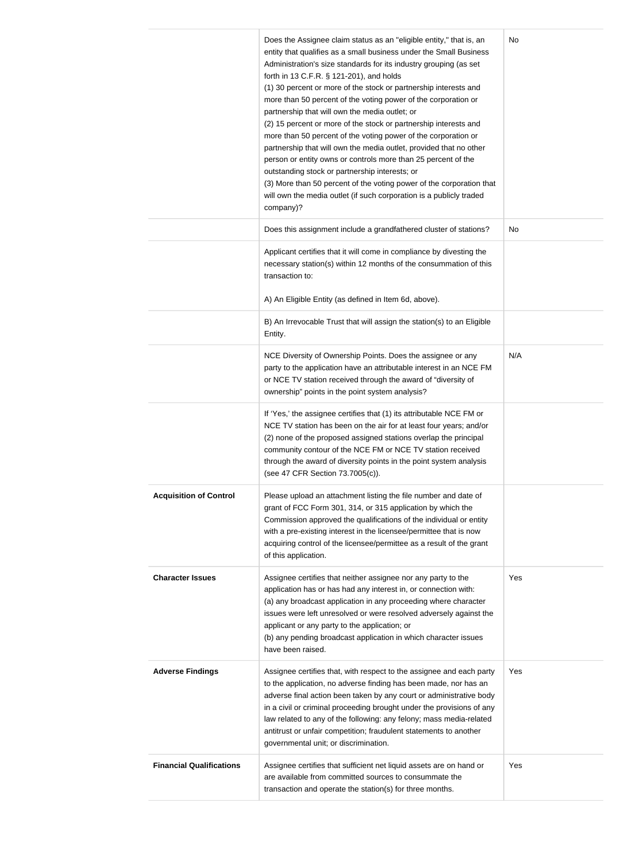|                                 | Does the Assignee claim status as an "eligible entity," that is, an<br>entity that qualifies as a small business under the Small Business<br>Administration's size standards for its industry grouping (as set<br>forth in 13 C.F.R. § 121-201), and holds<br>(1) 30 percent or more of the stock or partnership interests and<br>more than 50 percent of the voting power of the corporation or<br>partnership that will own the media outlet; or<br>(2) 15 percent or more of the stock or partnership interests and<br>more than 50 percent of the voting power of the corporation or<br>partnership that will own the media outlet, provided that no other<br>person or entity owns or controls more than 25 percent of the<br>outstanding stock or partnership interests; or<br>(3) More than 50 percent of the voting power of the corporation that<br>will own the media outlet (if such corporation is a publicly traded<br>company)? | No  |
|---------------------------------|-----------------------------------------------------------------------------------------------------------------------------------------------------------------------------------------------------------------------------------------------------------------------------------------------------------------------------------------------------------------------------------------------------------------------------------------------------------------------------------------------------------------------------------------------------------------------------------------------------------------------------------------------------------------------------------------------------------------------------------------------------------------------------------------------------------------------------------------------------------------------------------------------------------------------------------------------|-----|
|                                 | Does this assignment include a grandfathered cluster of stations?                                                                                                                                                                                                                                                                                                                                                                                                                                                                                                                                                                                                                                                                                                                                                                                                                                                                             | No  |
|                                 | Applicant certifies that it will come in compliance by divesting the<br>necessary station(s) within 12 months of the consummation of this<br>transaction to:<br>A) An Eligible Entity (as defined in Item 6d, above).                                                                                                                                                                                                                                                                                                                                                                                                                                                                                                                                                                                                                                                                                                                         |     |
|                                 | B) An Irrevocable Trust that will assign the station(s) to an Eligible<br>Entity.                                                                                                                                                                                                                                                                                                                                                                                                                                                                                                                                                                                                                                                                                                                                                                                                                                                             |     |
|                                 | NCE Diversity of Ownership Points. Does the assignee or any<br>party to the application have an attributable interest in an NCE FM<br>or NCE TV station received through the award of "diversity of<br>ownership" points in the point system analysis?                                                                                                                                                                                                                                                                                                                                                                                                                                                                                                                                                                                                                                                                                        | N/A |
|                                 | If 'Yes,' the assignee certifies that (1) its attributable NCE FM or<br>NCE TV station has been on the air for at least four years; and/or<br>(2) none of the proposed assigned stations overlap the principal<br>community contour of the NCE FM or NCE TV station received<br>through the award of diversity points in the point system analysis<br>(see 47 CFR Section 73.7005(c)).                                                                                                                                                                                                                                                                                                                                                                                                                                                                                                                                                        |     |
| <b>Acquisition of Control</b>   | Please upload an attachment listing the file number and date of<br>grant of FCC Form 301, 314, or 315 application by which the<br>Commission approved the qualifications of the individual or entity<br>with a pre-existing interest in the licensee/permittee that is now<br>acquiring control of the licensee/permittee as a result of the grant<br>of this application.                                                                                                                                                                                                                                                                                                                                                                                                                                                                                                                                                                    |     |
| <b>Character Issues</b>         | Assignee certifies that neither assignee nor any party to the<br>application has or has had any interest in, or connection with:<br>(a) any broadcast application in any proceeding where character<br>issues were left unresolved or were resolved adversely against the<br>applicant or any party to the application; or<br>(b) any pending broadcast application in which character issues<br>have been raised.                                                                                                                                                                                                                                                                                                                                                                                                                                                                                                                            | Yes |
| <b>Adverse Findings</b>         | Assignee certifies that, with respect to the assignee and each party<br>to the application, no adverse finding has been made, nor has an<br>adverse final action been taken by any court or administrative body<br>in a civil or criminal proceeding brought under the provisions of any<br>law related to any of the following: any felony; mass media-related<br>antitrust or unfair competition; fraudulent statements to another<br>governmental unit; or discrimination.                                                                                                                                                                                                                                                                                                                                                                                                                                                                 | Yes |
| <b>Financial Qualifications</b> | Assignee certifies that sufficient net liquid assets are on hand or<br>are available from committed sources to consummate the<br>transaction and operate the station(s) for three months.                                                                                                                                                                                                                                                                                                                                                                                                                                                                                                                                                                                                                                                                                                                                                     | Yes |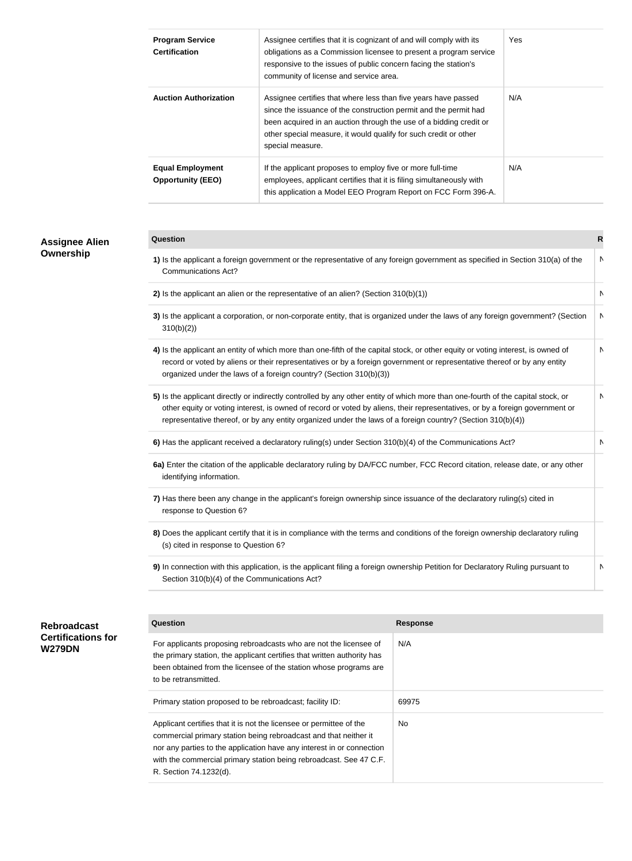| <b>Assignee Alien</b><br>Ownership  | <b>Program Service</b><br>Assignee certifies that it is cognizant of and will comply with its<br>Yes<br><b>Certification</b><br>obligations as a Commission licensee to present a program service<br>responsive to the issues of public concern facing the station's<br>community of license and service area.                                                                  |                                                                                                                                                                                                                   |                 |     |                                                 |  |  |  |
|-------------------------------------|---------------------------------------------------------------------------------------------------------------------------------------------------------------------------------------------------------------------------------------------------------------------------------------------------------------------------------------------------------------------------------|-------------------------------------------------------------------------------------------------------------------------------------------------------------------------------------------------------------------|-----------------|-----|-------------------------------------------------|--|--|--|
|                                     | N/A<br><b>Auction Authorization</b><br>Assignee certifies that where less than five years have passed<br>since the issuance of the construction permit and the permit had<br>been acquired in an auction through the use of a bidding credit or<br>other special measure, it would qualify for such credit or other<br>special measure.                                         |                                                                                                                                                                                                                   |                 |     |                                                 |  |  |  |
|                                     | <b>Equal Employment</b><br><b>Opportunity (EEO)</b>                                                                                                                                                                                                                                                                                                                             | If the applicant proposes to employ five or more full-time<br>employees, applicant certifies that it is filing simultaneously with<br>this application a Model EEO Program Report on FCC Form 396-A.              |                 | N/A |                                                 |  |  |  |
|                                     | Question                                                                                                                                                                                                                                                                                                                                                                        |                                                                                                                                                                                                                   |                 |     | $\mathsf{R}$<br>N<br>N<br>N<br>N<br>N<br>N<br>N |  |  |  |
|                                     | <b>Communications Act?</b>                                                                                                                                                                                                                                                                                                                                                      | 1) Is the applicant a foreign government or the representative of any foreign government as specified in Section 310(a) of the                                                                                    |                 |     |                                                 |  |  |  |
|                                     |                                                                                                                                                                                                                                                                                                                                                                                 | 2) Is the applicant an alien or the representative of an alien? (Section $310(b)(1)$ )                                                                                                                            |                 |     |                                                 |  |  |  |
|                                     | 3) Is the applicant a corporation, or non-corporate entity, that is organized under the laws of any foreign government? (Section<br>310(b)(2)                                                                                                                                                                                                                                   |                                                                                                                                                                                                                   |                 |     |                                                 |  |  |  |
|                                     | 4) Is the applicant an entity of which more than one-fifth of the capital stock, or other equity or voting interest, is owned of<br>record or voted by aliens or their representatives or by a foreign government or representative thereof or by any entity<br>organized under the laws of a foreign country? (Section 310(b)(3))                                              |                                                                                                                                                                                                                   |                 |     |                                                 |  |  |  |
|                                     | 5) Is the applicant directly or indirectly controlled by any other entity of which more than one-fourth of the capital stock, or<br>other equity or voting interest, is owned of record or voted by aliens, their representatives, or by a foreign government or<br>representative thereof, or by any entity organized under the laws of a foreign country? (Section 310(b)(4)) |                                                                                                                                                                                                                   |                 |     |                                                 |  |  |  |
|                                     |                                                                                                                                                                                                                                                                                                                                                                                 | 6) Has the applicant received a declaratory ruling(s) under Section 310(b)(4) of the Communications Act?                                                                                                          |                 |     |                                                 |  |  |  |
|                                     | identifying information.                                                                                                                                                                                                                                                                                                                                                        | 6a) Enter the citation of the applicable declaratory ruling by DA/FCC number, FCC Record citation, release date, or any other                                                                                     |                 |     |                                                 |  |  |  |
|                                     | response to Question 6?                                                                                                                                                                                                                                                                                                                                                         | 7) Has there been any change in the applicant's foreign ownership since issuance of the declaratory ruling(s) cited in                                                                                            |                 |     |                                                 |  |  |  |
|                                     | 8) Does the applicant certify that it is in compliance with the terms and conditions of the foreign ownership declaratory ruling<br>(s) cited in response to Question 6?                                                                                                                                                                                                        |                                                                                                                                                                                                                   |                 |     |                                                 |  |  |  |
|                                     | Section 310(b)(4) of the Communications Act?                                                                                                                                                                                                                                                                                                                                    | 9) In connection with this application, is the applicant filing a foreign ownership Petition for Declaratory Ruling pursuant to                                                                                   |                 |     |                                                 |  |  |  |
| <b>Rebroadcast</b>                  | Question                                                                                                                                                                                                                                                                                                                                                                        |                                                                                                                                                                                                                   | <b>Response</b> |     |                                                 |  |  |  |
| <b>Certifications for</b><br>W279DN | to be retransmitted.                                                                                                                                                                                                                                                                                                                                                            | For applicants proposing rebroadcasts who are not the licensee of<br>the primary station, the applicant certifies that written authority has<br>been obtained from the licensee of the station whose programs are | N/A             |     |                                                 |  |  |  |
|                                     | Primary station proposed to be rebroadcast; facility ID:                                                                                                                                                                                                                                                                                                                        |                                                                                                                                                                                                                   | 69975           |     |                                                 |  |  |  |
|                                     | Applicant certifies that it is not the licensee or permittee of the                                                                                                                                                                                                                                                                                                             | commercial primary station being rebroadcast and that neither it<br>nor any parties to the application have any interest in or connection                                                                         | No              |     |                                                 |  |  |  |

with the commercial primary station being rebroadcast. See 47 C.F. R. Section 74.1232(d).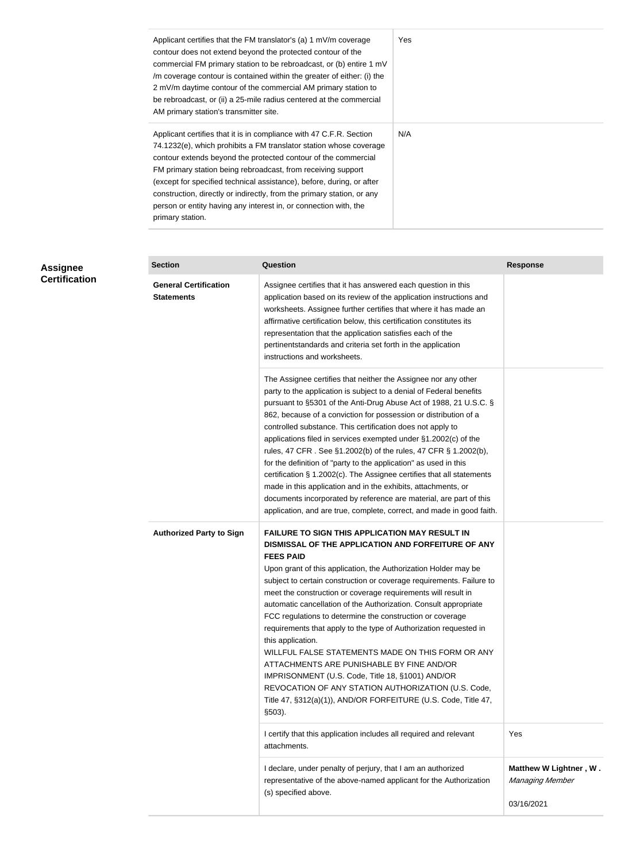| Applicant certifies that the FM translator's (a) 1 mV/m coverage<br>contour does not extend beyond the protected contour of the<br>commercial FM primary station to be rebroadcast, or (b) entire 1 mV<br>/m coverage contour is contained within the greater of either: (i) the<br>2 mV/m daytime contour of the commercial AM primary station to<br>be rebroadcast, or (ii) a 25-mile radius centered at the commercial<br>AM primary station's transmitter site.                                                    | Yes |
|------------------------------------------------------------------------------------------------------------------------------------------------------------------------------------------------------------------------------------------------------------------------------------------------------------------------------------------------------------------------------------------------------------------------------------------------------------------------------------------------------------------------|-----|
| Applicant certifies that it is in compliance with 47 C.F.R. Section<br>74.1232(e), which prohibits a FM translator station whose coverage<br>contour extends beyond the protected contour of the commercial<br>FM primary station being rebroadcast, from receiving support<br>(except for specified technical assistance), before, during, or after<br>construction, directly or indirectly, from the primary station, or any<br>person or entity having any interest in, or connection with, the<br>primary station. | N/A |

| <b>Assignee</b>      | <b>Section</b>                                    | <b>Question</b>                                                                                                                                                                                                                                                                                                                                                                                                                                                                                                                                                                                                                                                                                                                                                                                                                                                    | <b>Response</b>                                         |
|----------------------|---------------------------------------------------|--------------------------------------------------------------------------------------------------------------------------------------------------------------------------------------------------------------------------------------------------------------------------------------------------------------------------------------------------------------------------------------------------------------------------------------------------------------------------------------------------------------------------------------------------------------------------------------------------------------------------------------------------------------------------------------------------------------------------------------------------------------------------------------------------------------------------------------------------------------------|---------------------------------------------------------|
| <b>Certification</b> | <b>General Certification</b><br><b>Statements</b> | Assignee certifies that it has answered each question in this<br>application based on its review of the application instructions and<br>worksheets. Assignee further certifies that where it has made an<br>affirmative certification below, this certification constitutes its<br>representation that the application satisfies each of the<br>pertinentstandards and criteria set forth in the application<br>instructions and worksheets.                                                                                                                                                                                                                                                                                                                                                                                                                       |                                                         |
|                      |                                                   | The Assignee certifies that neither the Assignee nor any other<br>party to the application is subject to a denial of Federal benefits<br>pursuant to §5301 of the Anti-Drug Abuse Act of 1988, 21 U.S.C. §<br>862, because of a conviction for possession or distribution of a<br>controlled substance. This certification does not apply to<br>applications filed in services exempted under §1.2002(c) of the<br>rules, 47 CFR. See §1.2002(b) of the rules, 47 CFR § 1.2002(b),<br>for the definition of "party to the application" as used in this<br>certification § 1.2002(c). The Assignee certifies that all statements<br>made in this application and in the exhibits, attachments, or<br>documents incorporated by reference are material, are part of this<br>application, and are true, complete, correct, and made in good faith.                    |                                                         |
|                      | <b>Authorized Party to Sign</b>                   | <b>FAILURE TO SIGN THIS APPLICATION MAY RESULT IN</b><br>DISMISSAL OF THE APPLICATION AND FORFEITURE OF ANY<br><b>FEES PAID</b><br>Upon grant of this application, the Authorization Holder may be<br>subject to certain construction or coverage requirements. Failure to<br>meet the construction or coverage requirements will result in<br>automatic cancellation of the Authorization. Consult appropriate<br>FCC regulations to determine the construction or coverage<br>requirements that apply to the type of Authorization requested in<br>this application.<br>WILLFUL FALSE STATEMENTS MADE ON THIS FORM OR ANY<br>ATTACHMENTS ARE PUNISHABLE BY FINE AND/OR<br>IMPRISONMENT (U.S. Code, Title 18, §1001) AND/OR<br>REVOCATION OF ANY STATION AUTHORIZATION (U.S. Code,<br>Title 47, §312(a)(1)), AND/OR FORFEITURE (U.S. Code, Title 47,<br>$$503$ ). |                                                         |
|                      |                                                   | I certify that this application includes all required and relevant<br>attachments.                                                                                                                                                                                                                                                                                                                                                                                                                                                                                                                                                                                                                                                                                                                                                                                 | Yes                                                     |
|                      |                                                   | I declare, under penalty of perjury, that I am an authorized<br>representative of the above-named applicant for the Authorization<br>(s) specified above.                                                                                                                                                                                                                                                                                                                                                                                                                                                                                                                                                                                                                                                                                                          | Matthew W Lightner, W.<br>Managing Member<br>03/16/2021 |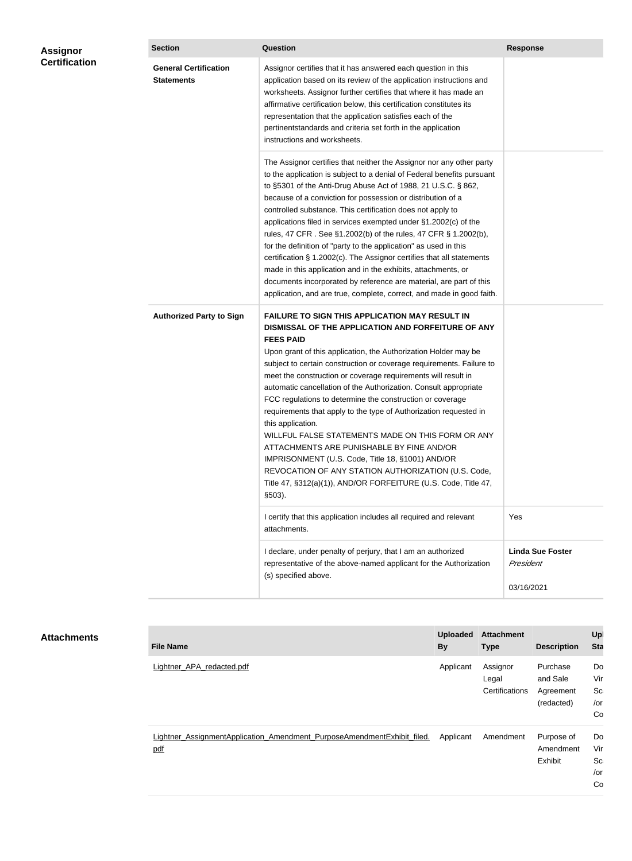| Assignor             | <b>Section</b>                                    | <b>Question</b>                                                                                                                                                                                                                                                                                                                                                                                                                                                                                                                                                                                                                                                                                                                                                                                                                                                    | <b>Response</b><br>Yes               |
|----------------------|---------------------------------------------------|--------------------------------------------------------------------------------------------------------------------------------------------------------------------------------------------------------------------------------------------------------------------------------------------------------------------------------------------------------------------------------------------------------------------------------------------------------------------------------------------------------------------------------------------------------------------------------------------------------------------------------------------------------------------------------------------------------------------------------------------------------------------------------------------------------------------------------------------------------------------|--------------------------------------|
| <b>Certification</b> | <b>General Certification</b><br><b>Statements</b> | Assignor certifies that it has answered each question in this<br>application based on its review of the application instructions and<br>worksheets. Assignor further certifies that where it has made an<br>affirmative certification below, this certification constitutes its<br>representation that the application satisfies each of the<br>pertinentstandards and criteria set forth in the application<br>instructions and worksheets.                                                                                                                                                                                                                                                                                                                                                                                                                       |                                      |
|                      |                                                   | The Assignor certifies that neither the Assignor nor any other party<br>to the application is subject to a denial of Federal benefits pursuant<br>to §5301 of the Anti-Drug Abuse Act of 1988, 21 U.S.C. § 862,<br>because of a conviction for possession or distribution of a<br>controlled substance. This certification does not apply to<br>applications filed in services exempted under §1.2002(c) of the<br>rules, 47 CFR. See §1.2002(b) of the rules, 47 CFR § 1.2002(b),<br>for the definition of "party to the application" as used in this<br>certification § 1.2002(c). The Assignor certifies that all statements<br>made in this application and in the exhibits, attachments, or<br>documents incorporated by reference are material, are part of this<br>application, and are true, complete, correct, and made in good faith.                    |                                      |
|                      | <b>Authorized Party to Sign</b>                   | <b>FAILURE TO SIGN THIS APPLICATION MAY RESULT IN</b><br>DISMISSAL OF THE APPLICATION AND FORFEITURE OF ANY<br><b>FEES PAID</b><br>Upon grant of this application, the Authorization Holder may be<br>subject to certain construction or coverage requirements. Failure to<br>meet the construction or coverage requirements will result in<br>automatic cancellation of the Authorization. Consult appropriate<br>FCC regulations to determine the construction or coverage<br>requirements that apply to the type of Authorization requested in<br>this application.<br>WILLFUL FALSE STATEMENTS MADE ON THIS FORM OR ANY<br>ATTACHMENTS ARE PUNISHABLE BY FINE AND/OR<br>IMPRISONMENT (U.S. Code, Title 18, §1001) AND/OR<br>REVOCATION OF ANY STATION AUTHORIZATION (U.S. Code,<br>Title 47, §312(a)(1)), AND/OR FORFEITURE (U.S. Code, Title 47,<br>$$503$ ). |                                      |
|                      |                                                   | I certify that this application includes all required and relevant<br>attachments.                                                                                                                                                                                                                                                                                                                                                                                                                                                                                                                                                                                                                                                                                                                                                                                 |                                      |
|                      |                                                   | I declare, under penalty of perjury, that I am an authorized<br>representative of the above-named applicant for the Authorization                                                                                                                                                                                                                                                                                                                                                                                                                                                                                                                                                                                                                                                                                                                                  | <b>Linda Sue Foster</b><br>President |

| <b>Attachments</b> |  |
|--------------------|--|
|--------------------|--|

| <b>File Name</b>                                                               | <b>Uploaded</b><br><b>By</b> | <b>Attachment</b><br><b>Type</b>    | <b>Description</b>                              | Upl<br><b>Sta</b>                         |
|--------------------------------------------------------------------------------|------------------------------|-------------------------------------|-------------------------------------------------|-------------------------------------------|
| Lightner APA redacted.pdf                                                      | Applicant                    | Assignor<br>Legal<br>Certifications | Purchase<br>and Sale<br>Agreement<br>(redacted) | Do<br>Vir<br>Sc <sub>i</sub><br>/or<br>Co |
| Lightner AssignmentApplication Amendment PurposeAmendmentExhibit filed.<br>pdf | Applicant                    | Amendment                           | Purpose of<br>Amendment<br>Exhibit              | Do<br>Vir<br>Sci<br>/or<br>Co             |